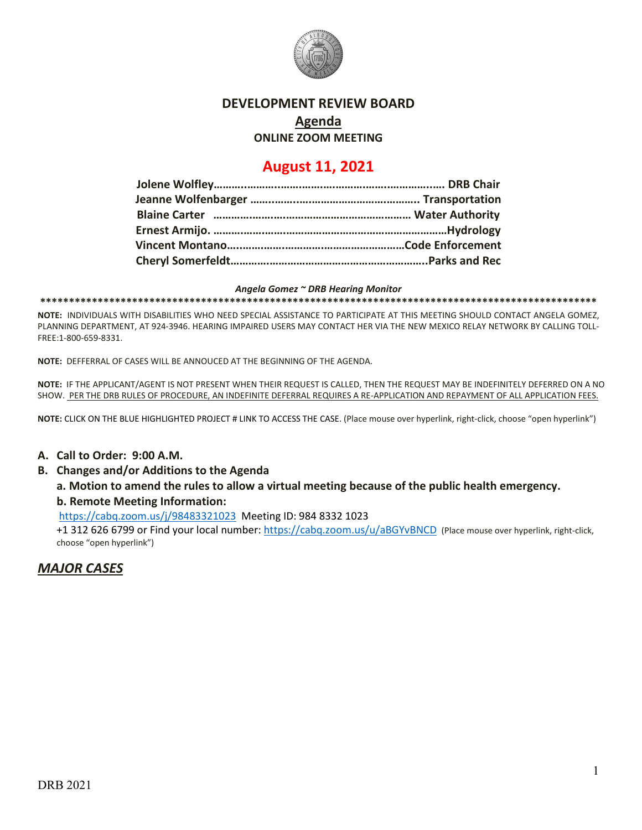

# **DEVELOPMENT REVIEW BOARD**

**Agenda**

**ONLINE ZOOM MEETING**

# **August 11, 2021**

#### *Angela Gomez ~ DRB Hearing Monitor*

**\*\*\*\*\*\*\*\*\*\*\*\*\*\*\*\*\*\*\*\*\*\*\*\*\*\*\*\*\*\*\*\*\*\*\*\*\*\*\*\*\*\*\*\*\*\*\*\*\*\*\*\*\*\*\*\*\*\*\*\*\*\*\*\*\*\*\*\*\*\*\*\*\*\*\*\*\*\*\*\*\*\*\*\*\*\*\*\*\*\*\*\*\*\*\*\*\***

**NOTE:** INDIVIDUALS WITH DISABILITIES WHO NEED SPECIAL ASSISTANCE TO PARTICIPATE AT THIS MEETING SHOULD CONTACT ANGELA GOMEZ, PLANNING DEPARTMENT, AT 924-3946. HEARING IMPAIRED USERS MAY CONTACT HER VIA THE NEW MEXICO RELAY NETWORK BY CALLING TOLL-FREE:1-800-659-8331.

**NOTE:** DEFFERRAL OF CASES WILL BE ANNOUCED AT THE BEGINNING OF THE AGENDA.

**NOTE:** IF THE APPLICANT/AGENT IS NOT PRESENT WHEN THEIR REQUEST IS CALLED, THEN THE REQUEST MAY BE INDEFINITELY DEFERRED ON A NO SHOW. PER THE DRB RULES OF PROCEDURE, AN INDEFINITE DEFERRAL REQUIRES A RE-APPLICATION AND REPAYMENT OF ALL APPLICATION FEES.

**NOTE:** CLICK ON THE BLUE HIGHLIGHTED PROJECT # LINK TO ACCESS THE CASE. (Place mouse over hyperlink, right-click, choose "open hyperlink")

#### **A. Call to Order: 9:00 A.M.**

**B. Changes and/or Additions to the Agenda**

#### **a. Motion to amend the rules to allow a virtual meeting because of the public health emergency. b. Remote Meeting Information:**

<https://cabq.zoom.us/j/98483321023>Meeting ID: 984 8332 1023

+1 312 626 6799 or Find your local number[: https://cabq.zoom.us/u/aBGYvBNCD](https://cabq.zoom.us/u/aBGYvBNCD) (Place mouse over hyperlink, right-click, choose "open hyperlink")

## *MAJOR CASES*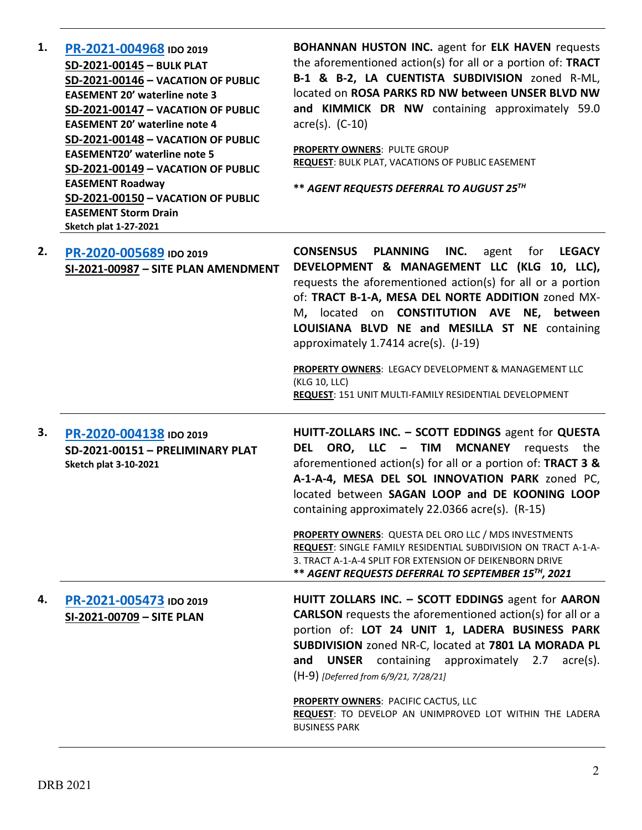| 1. | PR-2021-004968 IDO 2019<br>SD-2021-00145 - BULK PLAT<br>SD-2021-00146 - VACATION OF PUBLIC<br><b>EASEMENT 20' waterline note 3</b><br>SD-2021-00147 - VACATION OF PUBLIC<br><b>EASEMENT 20' waterline note 4</b><br>SD-2021-00148 - VACATION OF PUBLIC<br><b>EASEMENT20' waterline note 5</b><br>SD-2021-00149 - VACATION OF PUBLIC<br><b>EASEMENT Roadway</b><br>SD-2021-00150 - VACATION OF PUBLIC<br><b>EASEMENT Storm Drain</b><br><b>Sketch plat 1-27-2021</b> | <b>BOHANNAN HUSTON INC.</b> agent for ELK HAVEN requests<br>the aforementioned action(s) for all or a portion of: TRACT<br>B-1 & B-2, LA CUENTISTA SUBDIVISION zoned R-ML,<br>located on ROSA PARKS RD NW between UNSER BLVD NW<br>and KIMMICK DR NW containing approximately 59.0<br>$\text{acre}(s)$ . (C-10)<br>PROPERTY OWNERS: PULTE GROUP<br><b>REQUEST: BULK PLAT, VACATIONS OF PUBLIC EASEMENT</b><br>** AGENT REQUESTS DEFERRAL TO AUGUST 25TH                                                                                                                                  |
|----|---------------------------------------------------------------------------------------------------------------------------------------------------------------------------------------------------------------------------------------------------------------------------------------------------------------------------------------------------------------------------------------------------------------------------------------------------------------------|------------------------------------------------------------------------------------------------------------------------------------------------------------------------------------------------------------------------------------------------------------------------------------------------------------------------------------------------------------------------------------------------------------------------------------------------------------------------------------------------------------------------------------------------------------------------------------------|
| 2. | PR-2020-005689 IDO 2019<br>SI-2021-00987 - SITE PLAN AMENDMENT                                                                                                                                                                                                                                                                                                                                                                                                      | <b>CONSENSUS</b><br><b>PLANNING</b><br>INC.<br>for <b>LEGACY</b><br>agent<br>DEVELOPMENT & MANAGEMENT LLC (KLG 10, LLC),<br>requests the aforementioned action(s) for all or a portion<br>of: TRACT B-1-A, MESA DEL NORTE ADDITION zoned MX-<br>M, located on <b>CONSTITUTION</b> AVE NE, between<br>LOUISIANA BLVD NE and MESILLA ST NE containing<br>approximately 1.7414 acre(s). (J-19)<br>PROPERTY OWNERS: LEGACY DEVELOPMENT & MANAGEMENT LLC<br>(KLG 10, LLC)<br>REQUEST: 151 UNIT MULTI-FAMILY RESIDENTIAL DEVELOPMENT                                                           |
| 3. | PR-2020-004138 IDO 2019<br>SD-2021-00151 - PRELIMINARY PLAT<br><b>Sketch plat 3-10-2021</b>                                                                                                                                                                                                                                                                                                                                                                         | HUITT-ZOLLARS INC. - SCOTT EDDINGS agent for QUESTA<br>DEL ORO, LLC - TIM MCNANEY requests the<br>aforementioned action(s) for all or a portion of: TRACT 3 &<br>A-1-A-4, MESA DEL SOL INNOVATION PARK zoned PC,<br>located between SAGAN LOOP and DE KOONING LOOP<br>containing approximately 22.0366 acre(s). (R-15)<br><b>PROPERTY OWNERS:</b> QUESTA DEL ORO LLC / MDS INVESTMENTS<br>REQUEST: SINGLE FAMILY RESIDENTIAL SUBDIVISION ON TRACT A-1-A-                                                                                                                                 |
| 4. | PR-2021-005473 IDO 2019<br>SI-2021-00709 - SITE PLAN                                                                                                                                                                                                                                                                                                                                                                                                                | 3. TRACT A-1-A-4 SPLIT FOR EXTENSION OF DEIKENBORN DRIVE<br>** AGENT REQUESTS DEFERRAL TO SEPTEMBER 15 <sup>TH</sup> , 2021<br>HUITT ZOLLARS INC. - SCOTT EDDINGS agent for AARON<br><b>CARLSON</b> requests the aforementioned action(s) for all or a<br>portion of: LOT 24 UNIT 1, LADERA BUSINESS PARK<br>SUBDIVISION zoned NR-C, located at 7801 LA MORADA PL<br>and UNSER containing approximately 2.7 acre(s).<br>(H-9) [Deferred from 6/9/21, 7/28/21]<br>PROPERTY OWNERS: PACIFIC CACTUS, LLC<br>REQUEST: TO DEVELOP AN UNIMPROVED LOT WITHIN THE LADERA<br><b>BUSINESS PARK</b> |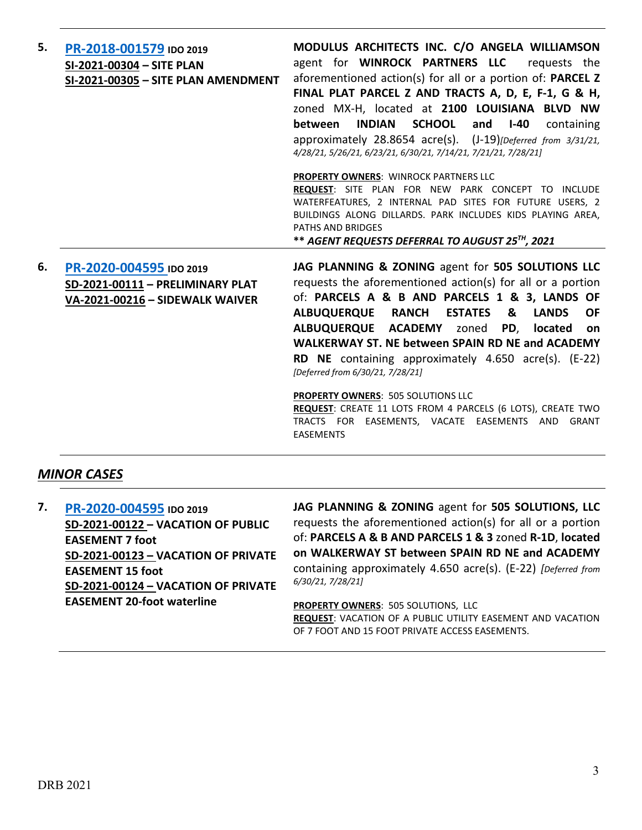| 5. | PR-2018-001579 IDO 2019<br>SI-2021-00304 - SITE PLAN<br>SI-2021-00305 - SITE PLAN AMENDMENT    | MODULUS ARCHITECTS INC. C/O ANGELA WILLIAMSON<br>agent for <b>WINROCK PARTNERS LLC</b> requests the<br>aforementioned action(s) for all or a portion of: PARCEL Z<br>FINAL PLAT PARCEL Z AND TRACTS A, D, E, F-1, G & H,<br>zoned MX-H, located at 2100 LOUISIANA BLVD NW<br><b>SCHOOL</b><br><b>INDIAN</b><br><b>between</b><br>and<br>I-40<br>containing<br>approximately 28.8654 acre(s). (J-19)[Deferred from 3/31/21,<br>4/28/21, 5/26/21, 6/23/21, 6/30/21, 7/14/21, 7/21/21, 7/28/21]                                                          |
|----|------------------------------------------------------------------------------------------------|-------------------------------------------------------------------------------------------------------------------------------------------------------------------------------------------------------------------------------------------------------------------------------------------------------------------------------------------------------------------------------------------------------------------------------------------------------------------------------------------------------------------------------------------------------|
|    |                                                                                                | PROPERTY OWNERS: WINROCK PARTNERS LLC<br>REQUEST: SITE PLAN FOR NEW PARK CONCEPT TO INCLUDE<br>WATERFEATURES, 2 INTERNAL PAD SITES FOR FUTURE USERS, 2<br>BUILDINGS ALONG DILLARDS. PARK INCLUDES KIDS PLAYING AREA,<br><b>PATHS AND BRIDGES</b><br>** AGENT REQUESTS DEFERRAL TO AUGUST 25TH, 2021                                                                                                                                                                                                                                                   |
| 6. | PR-2020-004595 IDO 2019<br>SD-2021-00111 - PRELIMINARY PLAT<br>VA-2021-00216 - SIDEWALK WAIVER | JAG PLANNING & ZONING agent for 505 SOLUTIONS LLC<br>requests the aforementioned action(s) for all or a portion<br>of: PARCELS A & B AND PARCELS 1 & 3, LANDS OF<br>ALBUQUERQUE RANCH<br><b>ESTATES</b><br>&<br><b>LANDS</b><br><b>OF</b><br>ALBUQUERQUE ACADEMY zoned PD, located on<br>WALKERWAY ST. NE between SPAIN RD NE and ACADEMY<br><b>RD NE</b> containing approximately $4.650$ acre(s). $(E-22)$<br>[Deferred from 6/30/21, 7/28/21]<br>PROPERTY OWNERS: 505 SOLUTIONS LLC<br>REQUEST: CREATE 11 LOTS FROM 4 PARCELS (6 LOTS), CREATE TWO |

TRACTS FOR EASEMENTS, VACATE EASEMENTS AND GRANT EASEMENTS

### *MINOR CASES*

**7. [PR-2020-004595](http://data.cabq.gov/government/planning/DRB/PR-2020-004595/DRB%20Submittals/) IDO 2019 SD-2021-00122 – VACATION OF PUBLIC EASEMENT 7 foot SD-2021-00123 – VACATION OF PRIVATE EASEMENT 15 foot SD-2021-00124 – VACATION OF PRIVATE EASEMENT 20-foot waterline**

**JAG PLANNING & ZONING** agent for **505 SOLUTIONS, LLC** requests the aforementioned action(s) for all or a portion of: **PARCELS A & B AND PARCELS 1 & 3** zoned **R-1D**, **located on WALKERWAY ST between SPAIN RD NE and ACADEMY**  containing approximately 4.650 acre(s). (E-22) *[Deferred from 6/30/21, 7/28/21]*

**PROPERTY OWNERS**: 505 SOLUTIONS, LLC **REQUEST**: VACATION OF A PUBLIC UTILITY EASEMENT AND VACATION OF 7 FOOT AND 15 FOOT PRIVATE ACCESS EASEMENTS.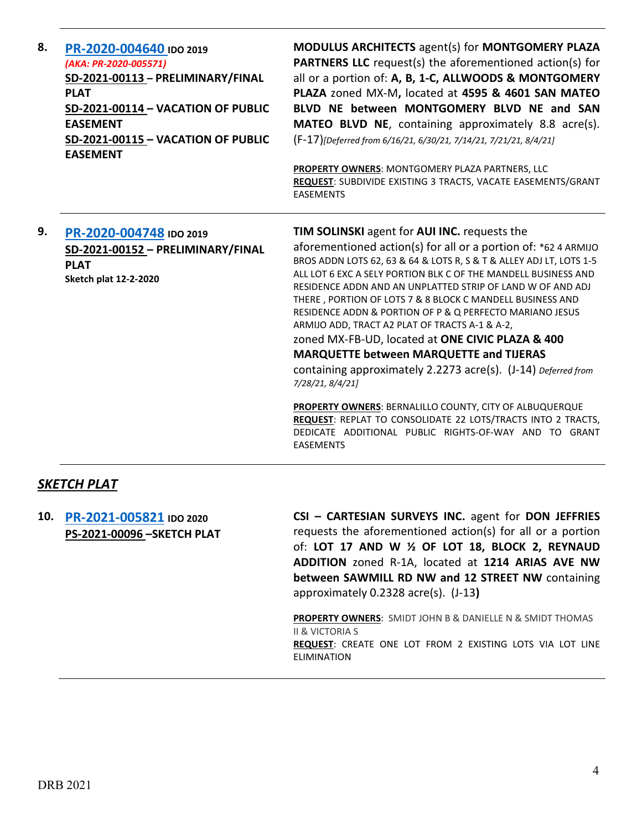| 8. | PR-2020-004640 IDO 2019<br>(AKA: PR-2020-005571)<br>SD-2021-00113 - PRELIMINARY/FINAL<br><b>PLAT</b><br>SD-2021-00114 - VACATION OF PUBLIC<br><b>EASEMENT</b><br>SD-2021-00115 - VACATION OF PUBLIC<br><b>EASEMENT</b> | MODULUS ARCHITECTS agent(s) for MONTGOMERY PLAZA<br><b>PARTNERS LLC</b> request(s) the aforementioned action(s) for<br>all or a portion of: A, B, 1-C, ALLWOODS & MONTGOMERY<br>PLAZA zoned MX-M, located at 4595 & 4601 SAN MATEO<br>BLVD NE between MONTGOMERY BLVD NE and SAN<br><b>MATEO BLVD NE</b> , containing approximately 8.8 acre(s).<br>(F-17)[Deferred from 6/16/21, 6/30/21, 7/14/21, 7/21/21, 8/4/21]<br>PROPERTY OWNERS: MONTGOMERY PLAZA PARTNERS, LLC<br>REQUEST: SUBDIVIDE EXISTING 3 TRACTS, VACATE EASEMENTS/GRANT<br><b>EASEMENTS</b>                                                                                                                                                                                                                                                                                                                                                              |
|----|------------------------------------------------------------------------------------------------------------------------------------------------------------------------------------------------------------------------|--------------------------------------------------------------------------------------------------------------------------------------------------------------------------------------------------------------------------------------------------------------------------------------------------------------------------------------------------------------------------------------------------------------------------------------------------------------------------------------------------------------------------------------------------------------------------------------------------------------------------------------------------------------------------------------------------------------------------------------------------------------------------------------------------------------------------------------------------------------------------------------------------------------------------|
| 9. | PR-2020-004748 IDO 2019<br>SD-2021-00152 - PRELIMINARY/FINAL<br><b>PLAT</b><br><b>Sketch plat 12-2-2020</b>                                                                                                            | <b>TIM SOLINSKI</b> agent for <b>AUI INC.</b> requests the<br>aforementioned action(s) for all or a portion of: *62 4 ARMIJO<br>BROS ADDN LOTS 62, 63 & 64 & LOTS R, S & T & ALLEY ADJ LT, LOTS 1-5<br>ALL LOT 6 EXC A SELY PORTION BLK C OF THE MANDELL BUSINESS AND<br>RESIDENCE ADDN AND AN UNPLATTED STRIP OF LAND W OF AND ADJ<br>THERE, PORTION OF LOTS 7 & 8 BLOCK C MANDELL BUSINESS AND<br>RESIDENCE ADDN & PORTION OF P & Q PERFECTO MARIANO JESUS<br>ARMIJO ADD, TRACT A2 PLAT OF TRACTS A-1 & A-2,<br>zoned MX-FB-UD, located at ONE CIVIC PLAZA & 400<br><b>MARQUETTE between MARQUETTE and TIJERAS</b><br>containing approximately 2.2273 acre(s). (J-14) Deferred from<br>7/28/21, 8/4/21]<br><b>PROPERTY OWNERS: BERNALILLO COUNTY, CITY OF ALBUQUERQUE</b><br>REQUEST: REPLAT TO CONSOLIDATE 22 LOTS/TRACTS INTO 2 TRACTS,<br>DEDICATE ADDITIONAL PUBLIC RIGHTS-OF-WAY AND TO GRANT<br><b>EASEMENTS</b> |

### *SKETCH PLAT*

**10. [PR-2021-005821](http://data.cabq.gov/government/planning/DRB/PR-2021-005821/DRB%20Submittals/PR-2021-005821_Aug_11_2021%20(Sketch)/Application/DRB_app_Sketch_Plat_211331.pdf) IDO 2020 PS-2021-00096 –SKETCH PLAT** **CSI – CARTESIAN SURVEYS INC.** agent for **DON JEFFRIES** requests the aforementioned action(s) for all or a portion of: **LOT 17 AND W ½ OF LOT 18, BLOCK 2, REYNAUD ADDITION** zoned R-1A, located at **1214 ARIAS AVE NW between SAWMILL RD NW and 12 STREET NW** containing approximately 0.2328 acre(s). (J-13**)**

**PROPERTY OWNERS**: SMIDT JOHN B & DANIELLE N & SMIDT THOMAS II & VICTORIA S **REQUEST**: CREATE ONE LOT FROM 2 EXISTING LOTS VIA LOT LINE ELIMINATION